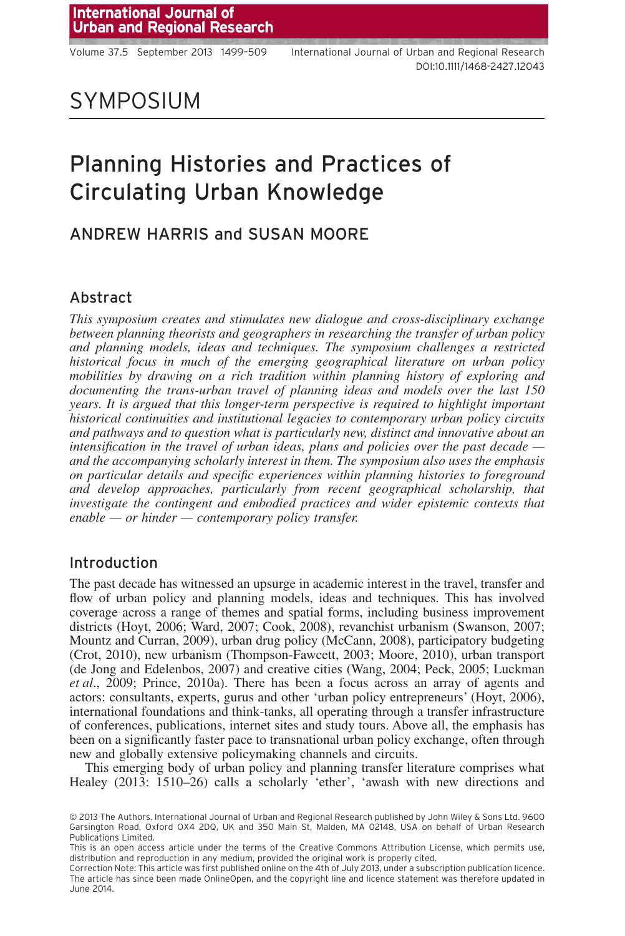## SYMPOSIUM

# Planning Histories and Practices of Circulating Urban Knowledge

## ANDREW HARRIS and SUSAN MOORE

#### Abstract

*This symposium creates and stimulates new dialogue and cross-disciplinary exchange between planning theorists and geographers in researching the transfer of urban policy and planning models, ideas and techniques. The symposium challenges a restricted historical focus in much of the emerging geographical literature on urban policy mobilities by drawing on a rich tradition within planning history of exploring and documenting the trans-urban travel of planning ideas and models over the last 150 years. It is argued that this longer-term perspective is required to highlight important historical continuities and institutional legacies to contemporary urban policy circuits and pathways and to question what is particularly new, distinct and innovative about an intensification in the travel of urban ideas, plans and policies over the past decade and the accompanying scholarly interest in them. The symposium also uses the emphasis on particular details and specific experiences within planning histories to foreground and develop approaches, particularly from recent geographical scholarship, that investigate the contingent and embodied practices and wider epistemic contexts that enable — or hinder — contemporary policy transfer.*

#### Introduction

The past decade has witnessed an upsurge in academic interest in the travel, transfer and flow of urban policy and planning models, ideas and techniques. This has involved coverage across a range of themes and spatial forms, including business improvement districts (Hoyt, 2006; Ward, 2007; Cook, 2008), revanchist urbanism (Swanson, 2007; Mountz and Curran, 2009), urban drug policy (McCann, 2008), participatory budgeting (Crot, 2010), new urbanism (Thompson-Fawcett, 2003; Moore, 2010), urban transport (de Jong and Edelenbos, 2007) and creative cities (Wang, 2004; Peck, 2005; Luckman *et al*., 2009; Prince, 2010a). There has been a focus across an array of agents and actors: consultants, experts, gurus and other 'urban policy entrepreneurs' (Hoyt, 2006), international foundations and think-tanks, all operating through a transfer infrastructure of conferences, publications, internet sites and study tours. Above all, the emphasis has been on a significantly faster pace to transnational urban policy exchange, often through new and globally extensive policymaking channels and circuits.

This emerging body of urban policy and planning transfer literature comprises what Healey (2013: 1510–26) calls a scholarly 'ether', 'awash with new directions and

<sup>© 2013</sup> The Authors. International Journal of Urban and Regional Research published by John Wiley & Sons Ltd. 9600 Garsington Road, Oxford OX4 2DQ, UK and 350 Main St, Malden, MA 02148, USA on behalf of Urban Research Publications Limited.

This is an open access article under the terms of the [Creative Commons Attribution](http://creativecommons.org/licenses/by/3.0/) License, which permits use, distribution and reproduction in any medium, provided the original work is properly cited.

Correction Note: This article was first published online on the 4th of July 2013, under a subscription publication licence. The article has since been made OnlineOpen, and the copyright line and licence statement was therefore updated in June 2014.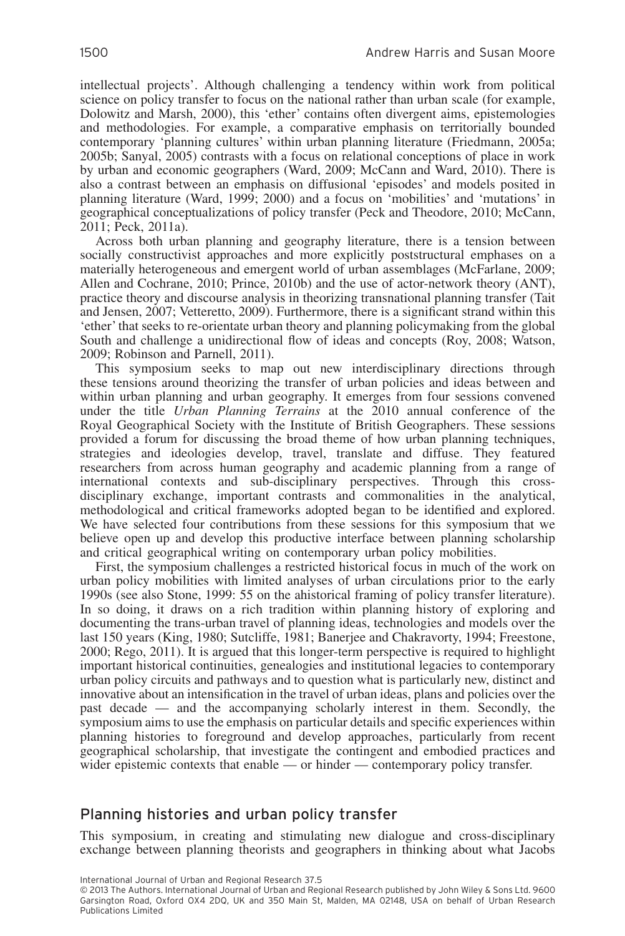intellectual projects'. Although challenging a tendency within work from political science on policy transfer to focus on the national rather than urban scale (for example, Dolowitz and Marsh, 2000), this 'ether' contains often divergent aims, epistemologies and methodologies. For example, a comparative emphasis on territorially bounded contemporary 'planning cultures' within urban planning literature (Friedmann, 2005a; 2005b; Sanyal, 2005) contrasts with a focus on relational conceptions of place in work by urban and economic geographers (Ward, 2009; McCann and Ward, 2010). There is also a contrast between an emphasis on diffusional 'episodes' and models posited in planning literature (Ward, 1999; 2000) and a focus on 'mobilities' and 'mutations' in geographical conceptualizations of policy transfer (Peck and Theodore, 2010; McCann, 2011; Peck, 2011a).

Across both urban planning and geography literature, there is a tension between socially constructivist approaches and more explicitly poststructural emphases on a materially heterogeneous and emergent world of urban assemblages (McFarlane, 2009; Allen and Cochrane, 2010; Prince, 2010b) and the use of actor-network theory (ANT), practice theory and discourse analysis in theorizing transnational planning transfer (Tait and Jensen, 2007; Vetteretto, 2009). Furthermore, there is a significant strand within this 'ether' that seeks to re-orientate urban theory and planning policymaking from the global South and challenge a unidirectional flow of ideas and concepts (Roy, 2008; Watson, 2009; Robinson and Parnell, 2011).

This symposium seeks to map out new interdisciplinary directions through these tensions around theorizing the transfer of urban policies and ideas between and within urban planning and urban geography. It emerges from four sessions convened under the title *Urban Planning Terrains* at the 2010 annual conference of the Royal Geographical Society with the Institute of British Geographers. These sessions provided a forum for discussing the broad theme of how urban planning techniques, strategies and ideologies develop, travel, translate and diffuse. They featured researchers from across human geography and academic planning from a range of international contexts and sub-disciplinary perspectives. Through this crossdisciplinary exchange, important contrasts and commonalities in the analytical, methodological and critical frameworks adopted began to be identified and explored. We have selected four contributions from these sessions for this symposium that we believe open up and develop this productive interface between planning scholarship and critical geographical writing on contemporary urban policy mobilities.

First, the symposium challenges a restricted historical focus in much of the work on urban policy mobilities with limited analyses of urban circulations prior to the early 1990s (see also Stone, 1999: 55 on the ahistorical framing of policy transfer literature). In so doing, it draws on a rich tradition within planning history of exploring and documenting the trans-urban travel of planning ideas, technologies and models over the last 150 years (King, 1980; Sutcliffe, 1981; Banerjee and Chakravorty, 1994; Freestone, 2000; Rego, 2011). It is argued that this longer-term perspective is required to highlight important historical continuities, genealogies and institutional legacies to contemporary urban policy circuits and pathways and to question what is particularly new, distinct and innovative about an intensification in the travel of urban ideas, plans and policies over the past decade — and the accompanying scholarly interest in them. Secondly, the symposium aims to use the emphasis on particular details and specific experiences within planning histories to foreground and develop approaches, particularly from recent geographical scholarship, that investigate the contingent and embodied practices and wider epistemic contexts that enable — or hinder — contemporary policy transfer.

#### Planning histories and urban policy transfer

This symposium, in creating and stimulating new dialogue and cross-disciplinary exchange between planning theorists and geographers in thinking about what Jacobs

International Journal of Urban and Regional Research 37.5

© 2013 The Authors. International Journal of Urban and Regional Research published by John Wiley & Sons Ltd. 9600 Garsington Road, Oxford OX4 2DQ, UK and 350 Main St, Malden, MA 02148, USA on behalf of Urban Research Publications Limited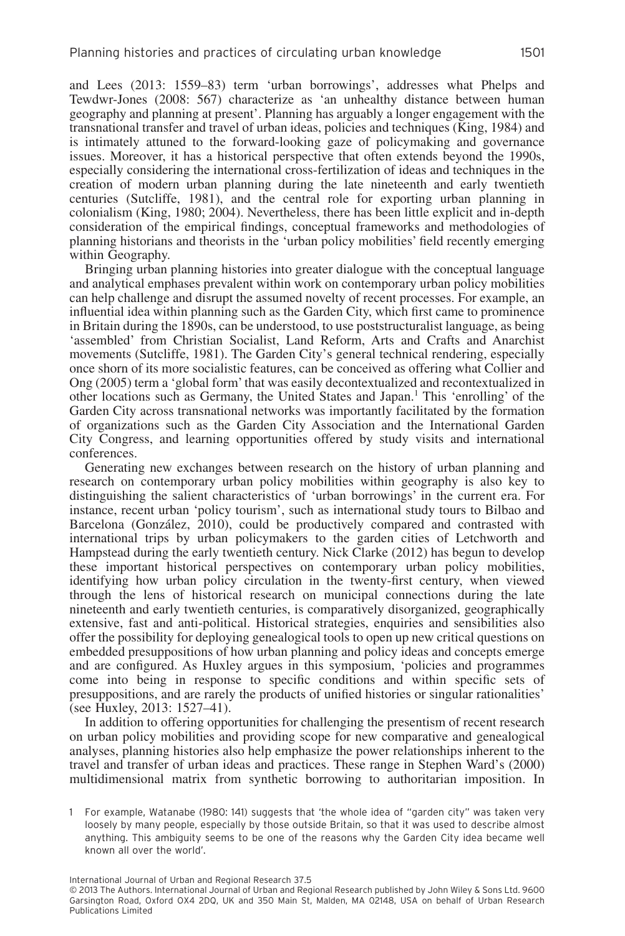and Lees (2013: 1559–83) term 'urban borrowings', addresses what Phelps and Tewdwr-Jones (2008: 567) characterize as 'an unhealthy distance between human geography and planning at present'. Planning has arguably a longer engagement with the transnational transfer and travel of urban ideas, policies and techniques (King, 1984) and is intimately attuned to the forward-looking gaze of policymaking and governance issues. Moreover, it has a historical perspective that often extends beyond the 1990s, especially considering the international cross-fertilization of ideas and techniques in the creation of modern urban planning during the late nineteenth and early twentieth centuries (Sutcliffe, 1981), and the central role for exporting urban planning in colonialism (King, 1980; 2004). Nevertheless, there has been little explicit and in-depth consideration of the empirical findings, conceptual frameworks and methodologies of planning historians and theorists in the 'urban policy mobilities' field recently emerging within Geography.

Bringing urban planning histories into greater dialogue with the conceptual language and analytical emphases prevalent within work on contemporary urban policy mobilities can help challenge and disrupt the assumed novelty of recent processes. For example, an influential idea within planning such as the Garden City, which first came to prominence in Britain during the 1890s, can be understood, to use poststructuralist language, as being 'assembled' from Christian Socialist, Land Reform, Arts and Crafts and Anarchist movements (Sutcliffe, 1981). The Garden City's general technical rendering, especially once shorn of its more socialistic features, can be conceived as offering what Collier and Ong (2005) term a 'global form'that was easily decontextualized and recontextualized in other locations such as Germany, the United States and Japan.1 This 'enrolling' of the Garden City across transnational networks was importantly facilitated by the formation of organizations such as the Garden City Association and the International Garden City Congress, and learning opportunities offered by study visits and international conferences.

Generating new exchanges between research on the history of urban planning and research on contemporary urban policy mobilities within geography is also key to distinguishing the salient characteristics of 'urban borrowings' in the current era. For instance, recent urban 'policy tourism', such as international study tours to Bilbao and Barcelona (González, 2010), could be productively compared and contrasted with international trips by urban policymakers to the garden cities of Letchworth and Hampstead during the early twentieth century. Nick Clarke (2012) has begun to develop these important historical perspectives on contemporary urban policy mobilities, identifying how urban policy circulation in the twenty-first century, when viewed through the lens of historical research on municipal connections during the late nineteenth and early twentieth centuries, is comparatively disorganized, geographically extensive, fast and anti-political. Historical strategies, enquiries and sensibilities also offer the possibility for deploying genealogical tools to open up new critical questions on embedded presuppositions of how urban planning and policy ideas and concepts emerge and are configured. As Huxley argues in this symposium, 'policies and programmes come into being in response to specific conditions and within specific sets of presuppositions, and are rarely the products of unified histories or singular rationalities' (see Huxley, 2013: 1527–41).

In addition to offering opportunities for challenging the presentism of recent research on urban policy mobilities and providing scope for new comparative and genealogical analyses, planning histories also help emphasize the power relationships inherent to the travel and transfer of urban ideas and practices. These range in Stephen Ward's (2000) multidimensional matrix from synthetic borrowing to authoritarian imposition. In

<sup>1</sup> For example, Watanabe (1980: 141) suggests that 'the whole idea of "garden city" was taken very loosely by many people, especially by those outside Britain, so that it was used to describe almost anything. This ambiguity seems to be one of the reasons why the Garden City idea became well known all over the world'.

<sup>© 2013</sup> The Authors. International Journal of Urban and Regional Research published by John Wiley & Sons Ltd. 9600 Garsington Road, Oxford OX4 2DQ, UK and 350 Main St, Malden, MA 02148, USA on behalf of Urban Research Publications Limited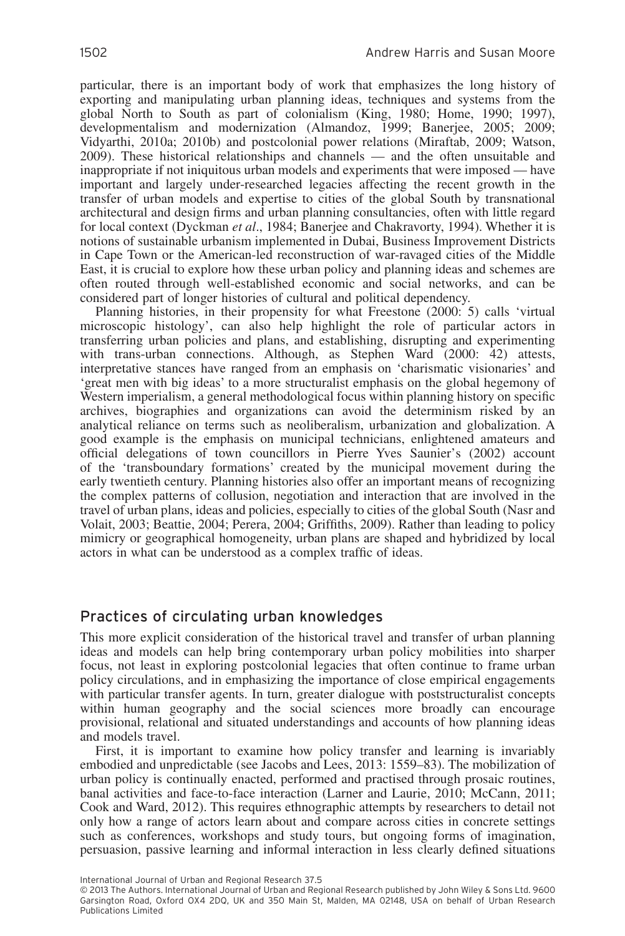particular, there is an important body of work that emphasizes the long history of exporting and manipulating urban planning ideas, techniques and systems from the global North to South as part of colonialism (King, 1980; Home, 1990; 1997), developmentalism and modernization (Almandoz, 1999; Banerjee, 2005; 2009; Vidyarthi, 2010a; 2010b) and postcolonial power relations (Miraftab, 2009; Watson, 2009). These historical relationships and channels — and the often unsuitable and inappropriate if not iniquitous urban models and experiments that were imposed — have important and largely under-researched legacies affecting the recent growth in the transfer of urban models and expertise to cities of the global South by transnational architectural and design firms and urban planning consultancies, often with little regard for local context (Dyckman *et al*., 1984; Banerjee and Chakravorty, 1994). Whether it is notions of sustainable urbanism implemented in Dubai, Business Improvement Districts in Cape Town or the American-led reconstruction of war-ravaged cities of the Middle East, it is crucial to explore how these urban policy and planning ideas and schemes are often routed through well-established economic and social networks, and can be considered part of longer histories of cultural and political dependency.

Planning histories, in their propensity for what Freestone (2000: 5) calls 'virtual microscopic histology', can also help highlight the role of particular actors in transferring urban policies and plans, and establishing, disrupting and experimenting with trans-urban connections. Although, as Stephen Ward (2000: 42) attests, interpretative stances have ranged from an emphasis on 'charismatic visionaries' and 'great men with big ideas' to a more structuralist emphasis on the global hegemony of Western imperialism, a general methodological focus within planning history on specific archives, biographies and organizations can avoid the determinism risked by an analytical reliance on terms such as neoliberalism, urbanization and globalization. A good example is the emphasis on municipal technicians, enlightened amateurs and official delegations of town councillors in Pierre Yves Saunier's (2002) account of the 'transboundary formations' created by the municipal movement during the early twentieth century. Planning histories also offer an important means of recognizing the complex patterns of collusion, negotiation and interaction that are involved in the travel of urban plans, ideas and policies, especially to cities of the global South (Nasr and Volait, 2003; Beattie, 2004; Perera, 2004; Griffiths, 2009). Rather than leading to policy mimicry or geographical homogeneity, urban plans are shaped and hybridized by local actors in what can be understood as a complex traffic of ideas.

#### Practices of circulating urban knowledges

This more explicit consideration of the historical travel and transfer of urban planning ideas and models can help bring contemporary urban policy mobilities into sharper focus, not least in exploring postcolonial legacies that often continue to frame urban policy circulations, and in emphasizing the importance of close empirical engagements with particular transfer agents. In turn, greater dialogue with poststructuralist concepts within human geography and the social sciences more broadly can encourage provisional, relational and situated understandings and accounts of how planning ideas and models travel.

First, it is important to examine how policy transfer and learning is invariably embodied and unpredictable (see Jacobs and Lees, 2013: 1559–83). The mobilization of urban policy is continually enacted, performed and practised through prosaic routines, banal activities and face-to-face interaction (Larner and Laurie, 2010; McCann, 2011; Cook and Ward, 2012). This requires ethnographic attempts by researchers to detail not only how a range of actors learn about and compare across cities in concrete settings such as conferences, workshops and study tours, but ongoing forms of imagination, persuasion, passive learning and informal interaction in less clearly defined situations

<sup>© 2013</sup> The Authors. International Journal of Urban and Regional Research published by John Wiley & Sons Ltd. 9600 Garsington Road, Oxford OX4 2DQ, UK and 350 Main St, Malden, MA 02148, USA on behalf of Urban Research Publications Limited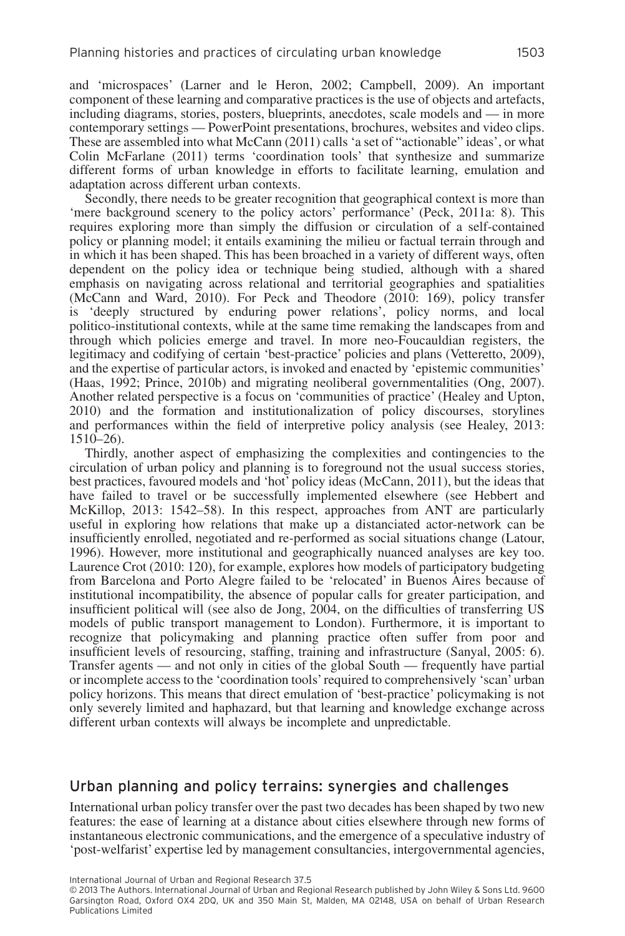and 'microspaces' (Larner and le Heron, 2002; Campbell, 2009). An important component of these learning and comparative practices is the use of objects and artefacts, including diagrams, stories, posters, blueprints, anecdotes, scale models and — in more contemporary settings — PowerPoint presentations, brochures, websites and video clips. These are assembled into what McCann (2011) calls 'a set of "actionable" ideas', or what Colin McFarlane (2011) terms 'coordination tools' that synthesize and summarize different forms of urban knowledge in efforts to facilitate learning, emulation and adaptation across different urban contexts.

Secondly, there needs to be greater recognition that geographical context is more than 'mere background scenery to the policy actors' performance' (Peck, 2011a: 8). This requires exploring more than simply the diffusion or circulation of a self-contained policy or planning model; it entails examining the milieu or factual terrain through and in which it has been shaped. This has been broached in a variety of different ways, often dependent on the policy idea or technique being studied, although with a shared emphasis on navigating across relational and territorial geographies and spatialities (McCann and Ward, 2010). For Peck and Theodore (2010: 169), policy transfer is 'deeply structured by enduring power relations', policy norms, and local politico-institutional contexts, while at the same time remaking the landscapes from and through which policies emerge and travel. In more neo-Foucauldian registers, the legitimacy and codifying of certain 'best-practice' policies and plans (Vetteretto, 2009), and the expertise of particular actors, is invoked and enacted by 'epistemic communities' (Haas, 1992; Prince, 2010b) and migrating neoliberal governmentalities (Ong, 2007). Another related perspective is a focus on 'communities of practice' (Healey and Upton, 2010) and the formation and institutionalization of policy discourses, storylines and performances within the field of interpretive policy analysis (see Healey, 2013: 1510–26).

Thirdly, another aspect of emphasizing the complexities and contingencies to the circulation of urban policy and planning is to foreground not the usual success stories, best practices, favoured models and 'hot' policy ideas (McCann, 2011), but the ideas that have failed to travel or be successfully implemented elsewhere (see Hebbert and McKillop, 2013: 1542–58). In this respect, approaches from ANT are particularly useful in exploring how relations that make up a distanciated actor-network can be insufficiently enrolled, negotiated and re-performed as social situations change (Latour, 1996). However, more institutional and geographically nuanced analyses are key too. Laurence Crot (2010: 120), for example, explores how models of participatory budgeting from Barcelona and Porto Alegre failed to be 'relocated' in Buenos Aires because of institutional incompatibility, the absence of popular calls for greater participation, and insufficient political will (see also de Jong, 2004, on the difficulties of transferring US models of public transport management to London). Furthermore, it is important to recognize that policymaking and planning practice often suffer from poor and insufficient levels of resourcing, staffing, training and infrastructure (Sanyal, 2005: 6). Transfer agents — and not only in cities of the global South — frequently have partial or incomplete access to the 'coordination tools' required to comprehensively 'scan' urban policy horizons. This means that direct emulation of 'best-practice' policymaking is not only severely limited and haphazard, but that learning and knowledge exchange across different urban contexts will always be incomplete and unpredictable.

#### Urban planning and policy terrains: synergies and challenges

International urban policy transfer over the past two decades has been shaped by two new features: the ease of learning at a distance about cities elsewhere through new forms of instantaneous electronic communications, and the emergence of a speculative industry of 'post-welfarist' expertise led by management consultancies, intergovernmental agencies,

International Journal of Urban and Regional Research 37.5

© 2013 The Authors. International Journal of Urban and Regional Research published by John Wiley & Sons Ltd. 9600 Garsington Road, Oxford OX4 2DQ, UK and 350 Main St, Malden, MA 02148, USA on behalf of Urban Research Publications Limited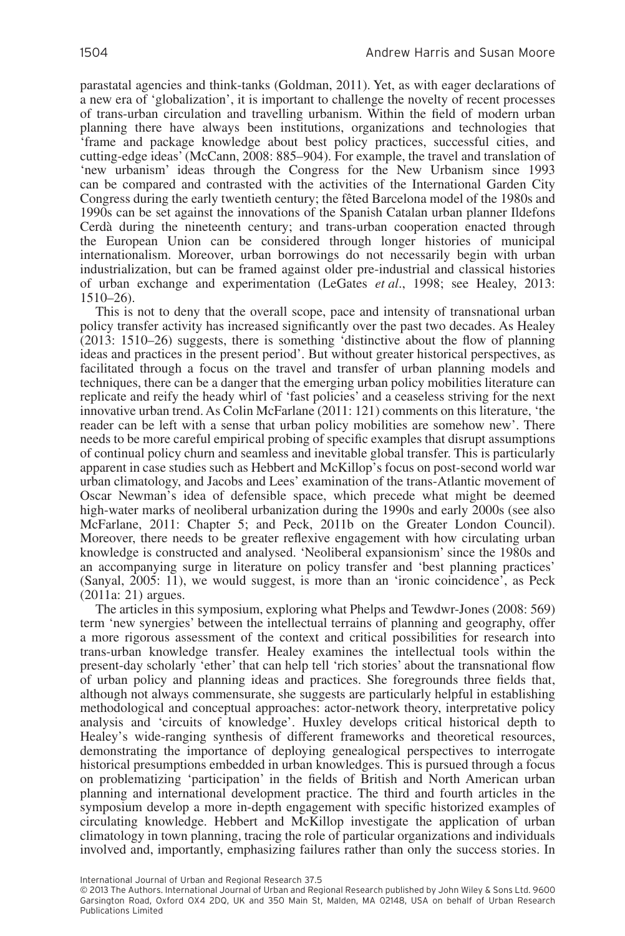parastatal agencies and think-tanks (Goldman, 2011). Yet, as with eager declarations of a new era of 'globalization', it is important to challenge the novelty of recent processes of trans-urban circulation and travelling urbanism. Within the field of modern urban planning there have always been institutions, organizations and technologies that 'frame and package knowledge about best policy practices, successful cities, and cutting-edge ideas' (McCann, 2008: 885–904). For example, the travel and translation of 'new urbanism' ideas through the Congress for the New Urbanism since 1993 can be compared and contrasted with the activities of the International Garden City Congress during the early twentieth century; the fêted Barcelona model of the 1980s and 1990s can be set against the innovations of the Spanish Catalan urban planner Ildefons Cerdà during the nineteenth century; and trans-urban cooperation enacted through the European Union can be considered through longer histories of municipal internationalism. Moreover, urban borrowings do not necessarily begin with urban industrialization, but can be framed against older pre-industrial and classical histories of urban exchange and experimentation (LeGates *et al*., 1998; see Healey, 2013: 1510–26).

This is not to deny that the overall scope, pace and intensity of transnational urban policy transfer activity has increased significantly over the past two decades. As Healey (2013: 1510–26) suggests, there is something 'distinctive about the flow of planning ideas and practices in the present period'. But without greater historical perspectives, as facilitated through a focus on the travel and transfer of urban planning models and techniques, there can be a danger that the emerging urban policy mobilities literature can replicate and reify the heady whirl of 'fast policies' and a ceaseless striving for the next innovative urban trend. As Colin McFarlane (2011: 121) comments on this literature, 'the reader can be left with a sense that urban policy mobilities are somehow new'. There needs to be more careful empirical probing of specific examples that disrupt assumptions of continual policy churn and seamless and inevitable global transfer. This is particularly apparent in case studies such as Hebbert and McKillop's focus on post-second world war urban climatology, and Jacobs and Lees' examination of the trans-Atlantic movement of Oscar Newman's idea of defensible space, which precede what might be deemed high-water marks of neoliberal urbanization during the 1990s and early 2000s (see also McFarlane, 2011: Chapter 5; and Peck, 2011b on the Greater London Council). Moreover, there needs to be greater reflexive engagement with how circulating urban knowledge is constructed and analysed. 'Neoliberal expansionism' since the 1980s and an accompanying surge in literature on policy transfer and 'best planning practices' (Sanyal, 2005: 11), we would suggest, is more than an 'ironic coincidence', as Peck (2011a: 21) argues.

The articles in this symposium, exploring what Phelps and Tewdwr-Jones (2008: 569) term 'new synergies' between the intellectual terrains of planning and geography, offer a more rigorous assessment of the context and critical possibilities for research into trans-urban knowledge transfer. Healey examines the intellectual tools within the present-day scholarly 'ether' that can help tell 'rich stories' about the transnational flow of urban policy and planning ideas and practices. She foregrounds three fields that, although not always commensurate, she suggests are particularly helpful in establishing methodological and conceptual approaches: actor-network theory, interpretative policy analysis and 'circuits of knowledge'. Huxley develops critical historical depth to Healey's wide-ranging synthesis of different frameworks and theoretical resources, demonstrating the importance of deploying genealogical perspectives to interrogate historical presumptions embedded in urban knowledges. This is pursued through a focus on problematizing 'participation' in the fields of British and North American urban planning and international development practice. The third and fourth articles in the symposium develop a more in-depth engagement with specific historized examples of circulating knowledge. Hebbert and McKillop investigate the application of urban climatology in town planning, tracing the role of particular organizations and individuals involved and, importantly, emphasizing failures rather than only the success stories. In

<sup>© 2013</sup> The Authors. International Journal of Urban and Regional Research published by John Wiley & Sons Ltd. 9600 Garsington Road, Oxford OX4 2DQ, UK and 350 Main St, Malden, MA 02148, USA on behalf of Urban Research Publications Limited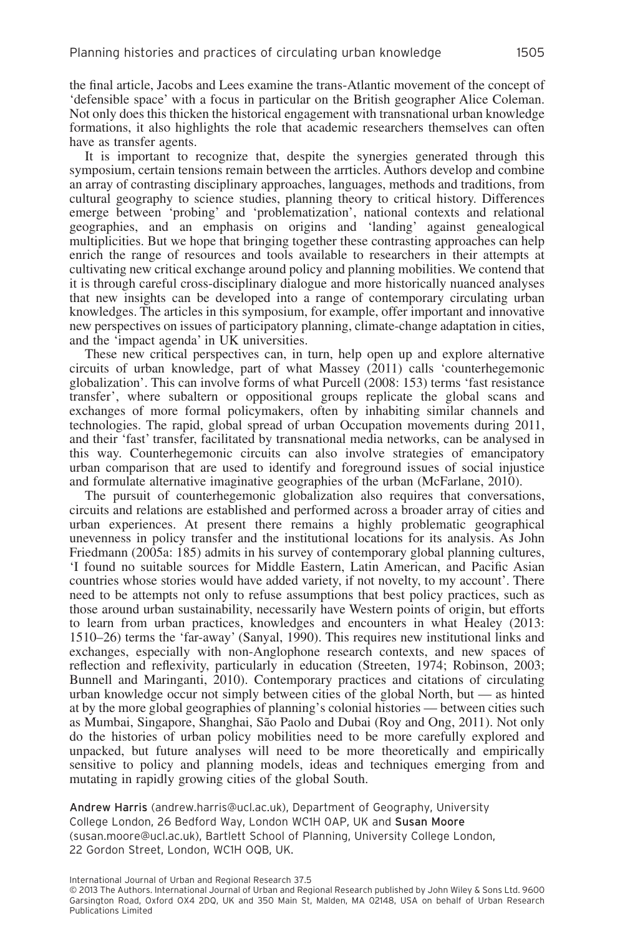the final article, Jacobs and Lees examine the trans-Atlantic movement of the concept of 'defensible space' with a focus in particular on the British geographer Alice Coleman. Not only does this thicken the historical engagement with transnational urban knowledge formations, it also highlights the role that academic researchers themselves can often have as transfer agents.

It is important to recognize that, despite the synergies generated through this symposium, certain tensions remain between the arrticles. Authors develop and combine an array of contrasting disciplinary approaches, languages, methods and traditions, from cultural geography to science studies, planning theory to critical history. Differences emerge between 'probing' and 'problematization', national contexts and relational geographies, and an emphasis on origins and 'landing' against genealogical multiplicities. But we hope that bringing together these contrasting approaches can help enrich the range of resources and tools available to researchers in their attempts at cultivating new critical exchange around policy and planning mobilities. We contend that it is through careful cross-disciplinary dialogue and more historically nuanced analyses that new insights can be developed into a range of contemporary circulating urban knowledges. The articles in this symposium, for example, offer important and innovative new perspectives on issues of participatory planning, climate-change adaptation in cities, and the 'impact agenda' in UK universities.

These new critical perspectives can, in turn, help open up and explore alternative circuits of urban knowledge, part of what Massey (2011) calls 'counterhegemonic globalization'. This can involve forms of what Purcell (2008: 153) terms 'fast resistance transfer', where subaltern or oppositional groups replicate the global scans and exchanges of more formal policymakers, often by inhabiting similar channels and technologies. The rapid, global spread of urban Occupation movements during 2011, and their 'fast' transfer, facilitated by transnational media networks, can be analysed in this way. Counterhegemonic circuits can also involve strategies of emancipatory urban comparison that are used to identify and foreground issues of social injustice and formulate alternative imaginative geographies of the urban (McFarlane, 2010).

The pursuit of counterhegemonic globalization also requires that conversations, circuits and relations are established and performed across a broader array of cities and urban experiences. At present there remains a highly problematic geographical unevenness in policy transfer and the institutional locations for its analysis. As John Friedmann (2005a: 185) admits in his survey of contemporary global planning cultures, 'I found no suitable sources for Middle Eastern, Latin American, and Pacific Asian countries whose stories would have added variety, if not novelty, to my account'. There need to be attempts not only to refuse assumptions that best policy practices, such as those around urban sustainability, necessarily have Western points of origin, but efforts to learn from urban practices, knowledges and encounters in what Healey (2013: 1510–26) terms the 'far-away' (Sanyal, 1990). This requires new institutional links and exchanges, especially with non-Anglophone research contexts, and new spaces of reflection and reflexivity, particularly in education (Streeten, 1974; Robinson, 2003; Bunnell and Maringanti, 2010). Contemporary practices and citations of circulating urban knowledge occur not simply between cities of the global North, but — as hinted at by the more global geographies of planning's colonial histories — between cities such as Mumbai, Singapore, Shanghai, São Paolo and Dubai (Roy and Ong, 2011). Not only do the histories of urban policy mobilities need to be more carefully explored and unpacked, but future analyses will need to be more theoretically and empirically sensitive to policy and planning models, ideas and techniques emerging from and mutating in rapidly growing cities of the global South.

Andrew Harris (andrew.harris@ucl.ac.uk), Department of Geography, University College London, 26 Bedford Way, London WC1H 0AP, UK and Susan Moore (susan.moore@ucl.ac.uk), Bartlett School of Planning, University College London, 22 Gordon Street, London, WC1H OQB, UK.

<sup>© 2013</sup> The Authors. International Journal of Urban and Regional Research published by John Wiley & Sons Ltd. 9600 Garsington Road, Oxford OX4 2DQ, UK and 350 Main St, Malden, MA 02148, USA on behalf of Urban Research Publications Limited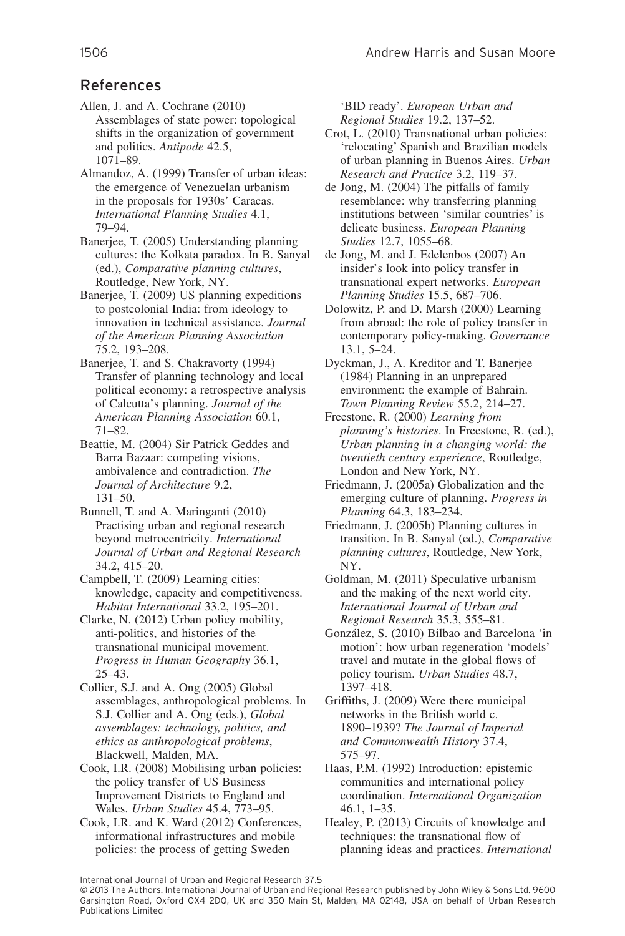### References

Allen, J. and A. Cochrane (2010) Assemblages of state power: topological shifts in the organization of government and politics. *Antipode* 42.5, 1071–89.

Almandoz, A. (1999) Transfer of urban ideas: the emergence of Venezuelan urbanism in the proposals for 1930s' Caracas. *International Planning Studies* 4.1, 79–94.

Banerjee, T. (2005) Understanding planning cultures: the Kolkata paradox. In B. Sanyal (ed.), *Comparative planning cultures*, Routledge, New York, NY.

Banerjee, T. (2009) US planning expeditions to postcolonial India: from ideology to innovation in technical assistance. *Journal of the American Planning Association* 75.2, 193–208.

Banerjee, T. and S. Chakravorty (1994) Transfer of planning technology and local political economy: a retrospective analysis of Calcutta's planning. *Journal of the American Planning Association* 60.1, 71–82.

Beattie, M. (2004) Sir Patrick Geddes and Barra Bazaar: competing visions, ambivalence and contradiction. *The Journal of Architecture* 9.2, 131–50.

Bunnell, T. and A. Maringanti (2010) Practising urban and regional research beyond metrocentricity. *International Journal of Urban and Regional Research* 34.2, 415–20.

Campbell, T. (2009) Learning cities: knowledge, capacity and competitiveness. *Habitat International* 33.2, 195–201.

Clarke, N. (2012) Urban policy mobility, anti-politics, and histories of the transnational municipal movement. *Progress in Human Geography* 36.1, 25–43.

Collier, S.J. and A. Ong (2005) Global assemblages, anthropological problems. In S.J. Collier and A. Ong (eds.), *Global assemblages: technology, politics, and ethics as anthropological problems*, Blackwell, Malden, MA.

Cook, I.R. (2008) Mobilising urban policies: the policy transfer of US Business Improvement Districts to England and Wales. *Urban Studies* 45.4, 773–95.

Cook, I.R. and K. Ward (2012) Conferences, informational infrastructures and mobile policies: the process of getting Sweden

'BID ready'. *European Urban and Regional Studies* 19.2, 137–52.

Crot, L. (2010) Transnational urban policies: 'relocating' Spanish and Brazilian models of urban planning in Buenos Aires. *Urban Research and Practice* 3.2, 119–37.

de Jong, M. (2004) The pitfalls of family resemblance: why transferring planning institutions between 'similar countries' is delicate business. *European Planning Studies* 12.7, 1055–68.

de Jong, M. and J. Edelenbos (2007) An insider's look into policy transfer in transnational expert networks. *European Planning Studies* 15.5, 687–706.

Dolowitz, P. and D. Marsh (2000) Learning from abroad: the role of policy transfer in contemporary policy-making. *Governance* 13.1, 5–24.

Dyckman, J., A. Kreditor and T. Banerjee (1984) Planning in an unprepared environment: the example of Bahrain. *Town Planning Review* 55.2, 214–27.

Freestone, R. (2000) *Learning from planning's histories*. In Freestone, R. (ed.), *Urban planning in a changing world: the twentieth century experience*, Routledge, London and New York, NY.

Friedmann, J. (2005a) Globalization and the emerging culture of planning. *Progress in Planning* 64.3, 183–234.

Friedmann, J. (2005b) Planning cultures in transition. In B. Sanyal (ed.), *Comparative planning cultures*, Routledge, New York, NY.

Goldman, M. (2011) Speculative urbanism and the making of the next world city. *International Journal of Urban and Regional Research* 35.3, 555–81.

González, S. (2010) Bilbao and Barcelona 'in motion': how urban regeneration 'models' travel and mutate in the global flows of policy tourism. *Urban Studies* 48.7, 1397–418.

Griffiths, J. (2009) Were there municipal networks in the British world c. 1890–1939? *The Journal of Imperial and Commonwealth History* 37.4, 575–97.

Haas, P.M. (1992) Introduction: epistemic communities and international policy coordination. *International Organization* 46.1, 1–35.

Healey, P. (2013) Circuits of knowledge and techniques: the transnational flow of planning ideas and practices. *International*

<sup>© 2013</sup> The Authors. International Journal of Urban and Regional Research published by John Wiley & Sons Ltd. 9600 Garsington Road, Oxford OX4 2DQ, UK and 350 Main St, Malden, MA 02148, USA on behalf of Urban Research Publications Limited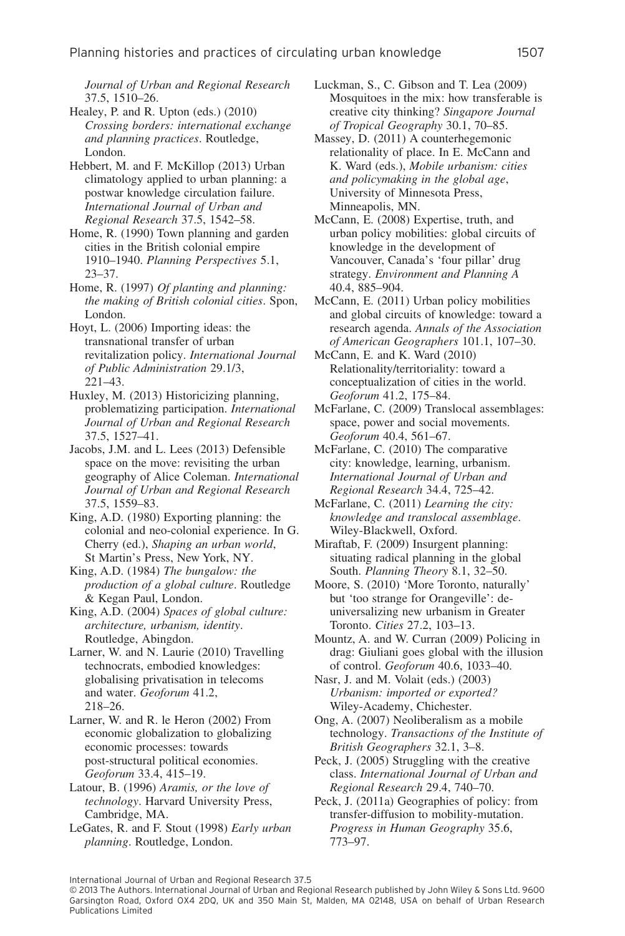*Journal of Urban and Regional Research* 37.5, 1510–26.

Healey, P. and R. Upton (eds.) (2010) *Crossing borders: international exchange and planning practices*. Routledge, London.

Hebbert, M. and F. McKillop (2013) Urban climatology applied to urban planning: a postwar knowledge circulation failure. *International Journal of Urban and Regional Research* 37.5, 1542–58.

Home, R. (1990) Town planning and garden cities in the British colonial empire 1910–1940. *Planning Perspectives* 5.1, 23–37.

Home, R. (1997) *Of planting and planning: the making of British colonial cities*. Spon, London.

Hoyt, L. (2006) Importing ideas: the transnational transfer of urban revitalization policy. *International Journal of Public Administration* 29.1/3, 221–43.

Huxley, M. (2013) Historicizing planning, problematizing participation. *International Journal of Urban and Regional Research* 37.5, 1527–41.

Jacobs, J.M. and L. Lees (2013) Defensible space on the move: revisiting the urban geography of Alice Coleman. *International Journal of Urban and Regional Research* 37.5, 1559–83.

King, A.D. (1980) Exporting planning: the colonial and neo-colonial experience. In G. Cherry (ed.), *Shaping an urban world*, St Martin's Press, New York, NY.

King, A.D. (1984) *The bungalow: the production of a global culture*. Routledge & Kegan Paul, London.

King, A.D. (2004) *Spaces of global culture: architecture, urbanism, identity*. Routledge, Abingdon.

Larner, W. and N. Laurie (2010) Travelling technocrats, embodied knowledges: globalising privatisation in telecoms and water. *Geoforum* 41.2, 218–26.

Larner, W. and R. le Heron (2002) From economic globalization to globalizing economic processes: towards post-structural political economies. *Geoforum* 33.4, 415–19.

Latour, B. (1996) *Aramis, or the love of technology*. Harvard University Press, Cambridge, MA.

LeGates, R. and F. Stout (1998) *Early urban planning*. Routledge, London.

- Luckman, S., C. Gibson and T. Lea (2009) Mosquitoes in the mix: how transferable is creative city thinking? *Singapore Journal of Tropical Geography* 30.1, 70–85.
- Massey, D. (2011) A counterhegemonic relationality of place. In E. McCann and K. Ward (eds.), *Mobile urbanism: cities and policymaking in the global age*, University of Minnesota Press, Minneapolis, MN.

McCann, E. (2008) Expertise, truth, and urban policy mobilities: global circuits of knowledge in the development of Vancouver, Canada's 'four pillar' drug strategy. *Environment and Planning A* 40.4, 885–904.

McCann, E. (2011) Urban policy mobilities and global circuits of knowledge: toward a research agenda. *Annals of the Association of American Geographers* 101.1, 107–30.

McCann, E. and K. Ward (2010) Relationality/territoriality: toward a conceptualization of cities in the world. *Geoforum* 41.2, 175–84.

McFarlane, C. (2009) Translocal assemblages: space, power and social movements. *Geoforum* 40.4, 561–67.

McFarlane, C. (2010) The comparative city: knowledge, learning, urbanism. *International Journal of Urban and Regional Research* 34.4, 725–42.

McFarlane, C. (2011) *Learning the city: knowledge and translocal assemblage*. Wiley-Blackwell, Oxford.

Miraftab, F. (2009) Insurgent planning: situating radical planning in the global South. *Planning Theory* 8.1, 32–50.

Moore, S. (2010) 'More Toronto, naturally' but 'too strange for Orangeville': deuniversalizing new urbanism in Greater Toronto. *Cities* 27.2, 103–13.

Mountz, A. and W. Curran (2009) Policing in drag: Giuliani goes global with the illusion of control. *Geoforum* 40.6, 1033–40.

Nasr, J. and M. Volait (eds.) (2003) *Urbanism: imported or exported?* Wiley-Academy, Chichester.

Ong, A. (2007) Neoliberalism as a mobile technology. *Transactions of the Institute of British Geographers* 32.1, 3–8.

Peck, J. (2005) Struggling with the creative class. *International Journal of Urban and Regional Research* 29.4, 740–70.

Peck, J. (2011a) Geographies of policy: from transfer-diffusion to mobility-mutation. *Progress in Human Geography* 35.6, 773–97.

<sup>© 2013</sup> The Authors. International Journal of Urban and Regional Research published by John Wiley & Sons Ltd. 9600 Garsington Road, Oxford OX4 2DQ, UK and 350 Main St, Malden, MA 02148, USA on behalf of Urban Research Publications Limited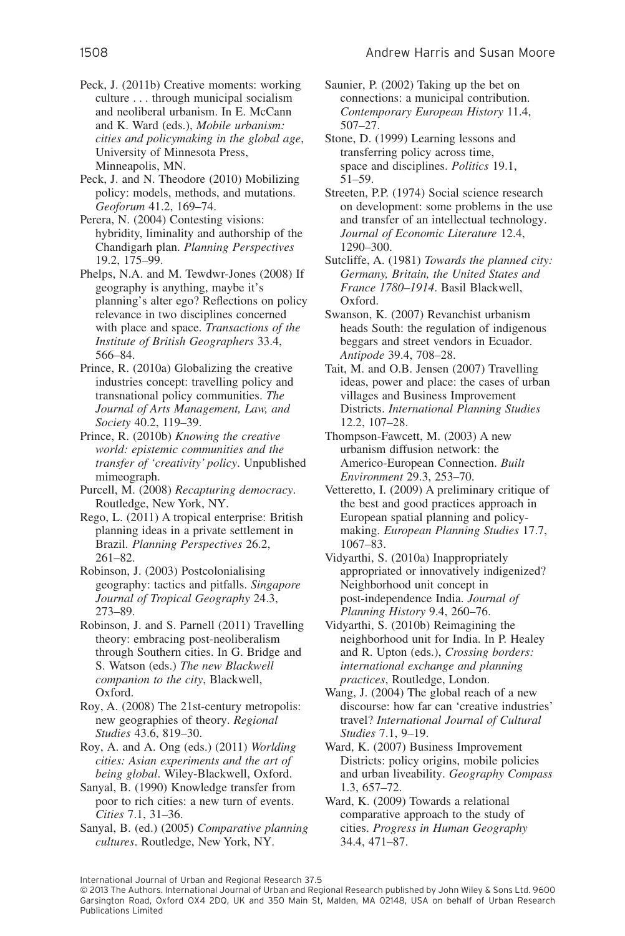Peck, J. (2011b) Creative moments: working culture . . . through municipal socialism and neoliberal urbanism. In E. McCann and K. Ward (eds.), *Mobile urbanism: cities and policymaking in the global age*, University of Minnesota Press, Minneapolis, MN.

Peck, J. and N. Theodore (2010) Mobilizing policy: models, methods, and mutations. *Geoforum* 41.2, 169–74.

Perera, N. (2004) Contesting visions: hybridity, liminality and authorship of the Chandigarh plan. *Planning Perspectives* 19.2, 175–99.

Phelps, N.A. and M. Tewdwr-Jones (2008) If geography is anything, maybe it's planning's alter ego? Reflections on policy relevance in two disciplines concerned with place and space. *Transactions of the Institute of British Geographers* 33.4, 566–84.

Prince, R. (2010a) Globalizing the creative industries concept: travelling policy and transnational policy communities. *The Journal of Arts Management, Law, and Society* 40.2, 119–39.

Prince, R. (2010b) *Knowing the creative world: epistemic communities and the transfer of 'creativity' policy*. Unpublished mimeograph.

Purcell, M. (2008) *Recapturing democracy*. Routledge, New York, NY.

Rego, L. (2011) A tropical enterprise: British planning ideas in a private settlement in Brazil. *Planning Perspectives* 26.2, 261–82.

Robinson, J. (2003) Postcolonialising geography: tactics and pitfalls. *Singapore Journal of Tropical Geography* 24.3, 273–89.

Robinson, J. and S. Parnell (2011) Travelling theory: embracing post-neoliberalism through Southern cities. In G. Bridge and S. Watson (eds.) *The new Blackwell companion to the city*, Blackwell, Oxford.

Roy, A. (2008) The 21st-century metropolis: new geographies of theory. *Regional Studies* 43.6, 819–30.

Roy, A. and A. Ong (eds.) (2011) *Worlding cities: Asian experiments and the art of being global*. Wiley-Blackwell, Oxford.

Sanyal, B. (1990) Knowledge transfer from poor to rich cities: a new turn of events. *Cities* 7.1, 31–36.

Sanyal, B. (ed.) (2005) *Comparative planning cultures*. Routledge, New York, NY.

Saunier, P. (2002) Taking up the bet on connections: a municipal contribution. *Contemporary European History* 11.4, 507–27.

Stone, D. (1999) Learning lessons and transferring policy across time, space and disciplines. *Politics* 19.1, 51–59.

Streeten, P.P. (1974) Social science research on development: some problems in the use and transfer of an intellectual technology. *Journal of Economic Literature* 12.4, 1290–300.

Sutcliffe, A. (1981) *Towards the planned city: Germany, Britain, the United States and France 1780–1914*. Basil Blackwell, Oxford.

Swanson, K. (2007) Revanchist urbanism heads South: the regulation of indigenous beggars and street vendors in Ecuador. *Antipode* 39.4, 708–28.

Tait, M. and O.B. Jensen (2007) Travelling ideas, power and place: the cases of urban villages and Business Improvement Districts. *International Planning Studies* 12.2, 107–28.

Thompson-Fawcett, M. (2003) A new urbanism diffusion network: the Americo-European Connection. *Built Environment* 29.3, 253–70.

Vetteretto, I. (2009) A preliminary critique of the best and good practices approach in European spatial planning and policymaking. *European Planning Studies* 17.7, 1067–83.

Vidyarthi, S. (2010a) Inappropriately appropriated or innovatively indigenized? Neighborhood unit concept in post-independence India. *Journal of Planning History* 9.4, 260–76.

Vidyarthi, S. (2010b) Reimagining the neighborhood unit for India. In P. Healey and R. Upton (eds.), *Crossing borders: international exchange and planning practices*, Routledge, London.

Wang, J. (2004) The global reach of a new discourse: how far can 'creative industries' travel? *International Journal of Cultural Studies* 7.1, 9–19.

Ward, K. (2007) Business Improvement Districts: policy origins, mobile policies and urban liveability. *Geography Compass* 1.3, 657–72.

Ward, K. (2009) Towards a relational comparative approach to the study of cities. *Progress in Human Geography* 34.4, 471–87.

<sup>© 2013</sup> The Authors. International Journal of Urban and Regional Research published by John Wiley & Sons Ltd. 9600 Garsington Road, Oxford OX4 2DQ, UK and 350 Main St, Malden, MA 02148, USA on behalf of Urban Research Publications Limited